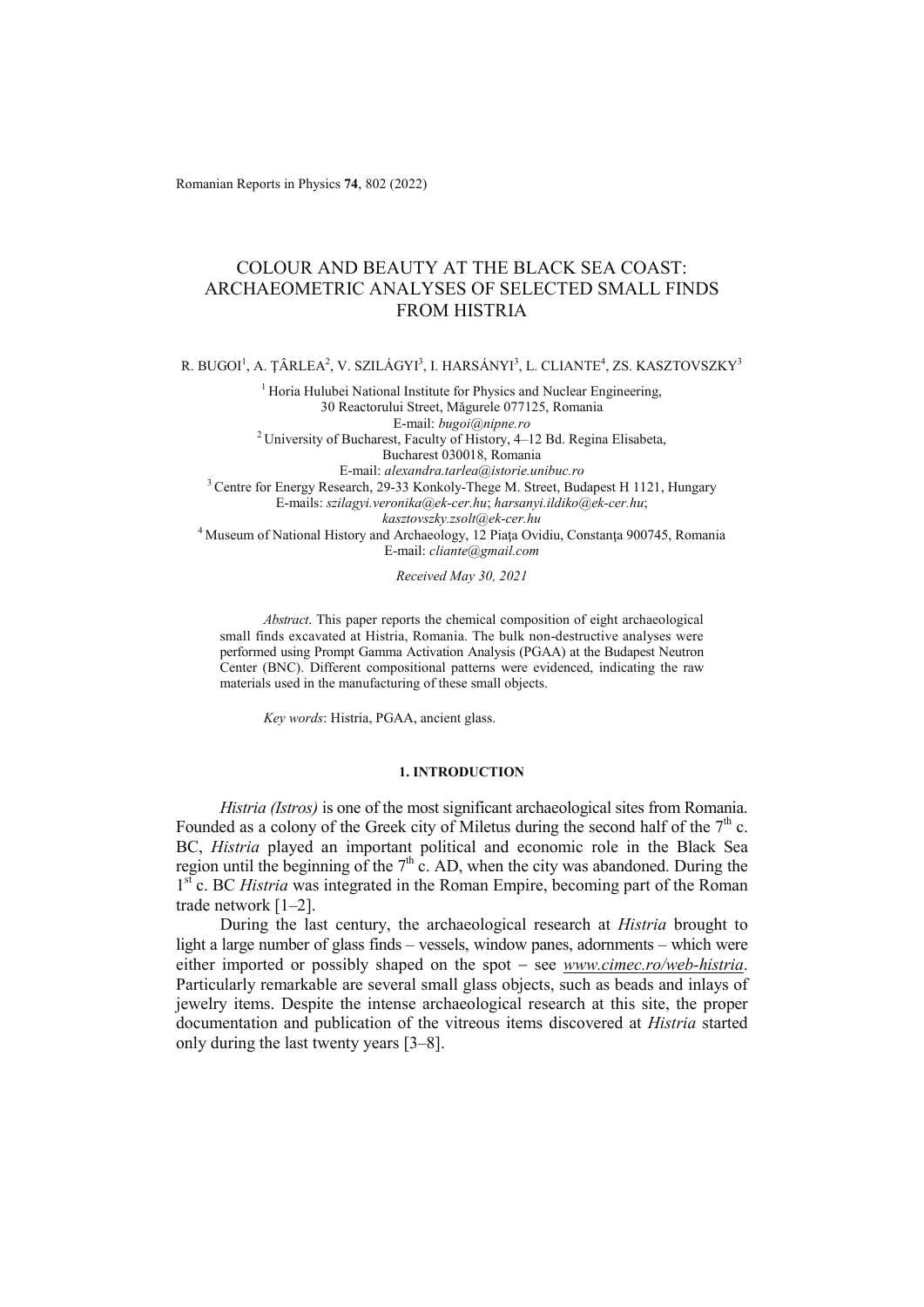Romanian Reports in Physics **74**, 802 (2022)

# COLOUR AND BEAUTY AT THE BLACK SEA COAST: ARCHAEOMETRIC ANALYSES OF SELECTED SMALL FINDS FROM HISTRIA

R. BUGOI<sup>1</sup>, A. ȚÂRLEA<sup>2</sup>, V. SZILÁGYI<sup>3</sup>, I. HARSÁNYI<sup>3</sup>, L. CLIANTE<sup>4</sup>, ZS. KASZTOVSZKY<sup>3</sup>

<sup>1</sup> Horia Hulubei National Institute for Physics and Nuclear Engineering, 30 Reactorului Street, Măgurele 077125, Romania E-mail: *bugoi@nipne.ro* 2 University of Bucharest, Faculty of History, 4–12 Bd. Regina Elisabeta, Bucharest 030018, Romania

E-mail: *alexandra.tarlea@istorie.unibuc.ro* 3 Centre for Energy Research, 29-33 Konkoly-Thege M. Street, Budapest H 1121, Hungary E-mails: *szilagyi.veronika@ek-cer.hu*; *harsanyi.ildiko@ek-cer.hu*; *kasztovszky.zsolt@ek-cer.hu* 4 Museum of National History and Archaeology, 12 Piaţa Ovidiu, Constanţa 900745, Romania

E-mail: *cliante@gmail.com*

*Received May 30, 2021* 

*Abstract*. This paper reports the chemical composition of eight archaeological small finds excavated at Histria, Romania. The bulk non-destructive analyses were performed using Prompt Gamma Activation Analysis (PGAA) at the Budapest Neutron Center (BNC). Different compositional patterns were evidenced, indicating the raw materials used in the manufacturing of these small objects.

*Key words*: Histria, PGAA, ancient glass.

### **1. INTRODUCTION**

*Histria (Istros)* is one of the most significant archaeological sites from Romania. Founded as a colony of the Greek city of Miletus during the second half of the  $7<sup>th</sup>$  c. BC, *Histria* played an important political and economic role in the Black Sea region until the beginning of the  $7<sup>th</sup>$  c. AD, when the city was abandoned. During the 1<sup>st</sup> c. BC *Histria* was integrated in the Roman Empire, becoming part of the Roman trade network [1–2].

During the last century, the archaeological research at *Histria* brought to light a large number of glass finds – vessels, window panes, adornments – which were either imported or possibly shaped on the spot - see *www.cimec.ro/web-histria*. Particularly remarkable are several small glass objects, such as beads and inlays of jewelry items. Despite the intense archaeological research at this site, the proper documentation and publication of the vitreous items discovered at *Histria* started only during the last twenty years [3–8].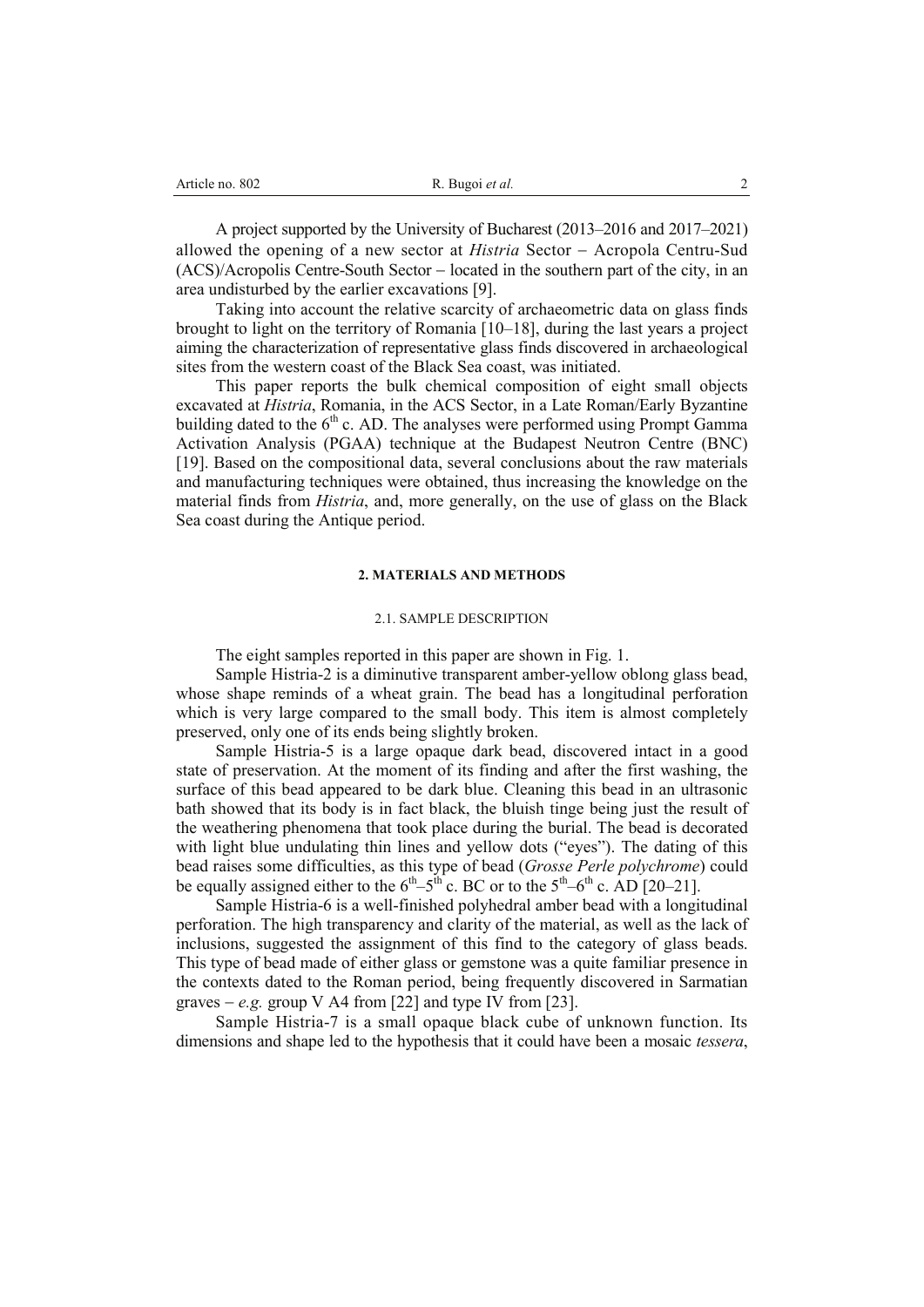| Article no. 802 | R. Bugoi et al. |  |
|-----------------|-----------------|--|
|                 |                 |  |

A project supported by the University of Bucharest (2013–2016 and 2017–2021) allowed the opening of a new sector at *Histria* Sector - Acropola Centru-Sud  $(ACS)/Acropolis$  Centre-South Sector  $-$  located in the southern part of the city, in an area undisturbed by the earlier excavations [9].

Taking into account the relative scarcity of archaeometric data on glass finds brought to light on the territory of Romania [10–18], during the last years a project aiming the characterization of representative glass finds discovered in archaeological sites from the western coast of the Black Sea coast, was initiated.

This paper reports the bulk chemical composition of eight small objects excavated at *Histria*, Romania, in the ACS Sector, in a Late Roman/Early Byzantine building dated to the  $6<sup>th</sup>$  c. AD. The analyses were performed using Prompt Gamma Activation Analysis (PGAA) technique at the Budapest Neutron Centre (BNC) [19]. Based on the compositional data, several conclusions about the raw materials and manufacturing techniques were obtained, thus increasing the knowledge on the material finds from *Histria*, and, more generally, on the use of glass on the Black Sea coast during the Antique period.

### **2. MATERIALS AND METHODS**

## 2.1. SAMPLE DESCRIPTION

The eight samples reported in this paper are shown in Fig. 1.

Sample Histria-2 is a diminutive transparent amber-yellow oblong glass bead, whose shape reminds of a wheat grain. The bead has a longitudinal perforation which is very large compared to the small body. This item is almost completely preserved, only one of its ends being slightly broken.

Sample Histria-5 is a large opaque dark bead, discovered intact in a good state of preservation. At the moment of its finding and after the first washing, the surface of this bead appeared to be dark blue. Cleaning this bead in an ultrasonic bath showed that its body is in fact black, the bluish tinge being just the result of the weathering phenomena that took place during the burial. The bead is decorated with light blue undulating thin lines and yellow dots ("eyes"). The dating of this bead raises some difficulties, as this type of bead (*Grosse Perle polychrome*) could be equally assigned either to the  $6^{th}$ – $5^{th}$  c. BC or to the  $5^{th}$ – $6^{th}$  c. AD [20–21].

Sample Histria-6 is a well-finished polyhedral amber bead with a longitudinal perforation. The high transparency and clarity of the material, as well as the lack of inclusions, suggested the assignment of this find to the category of glass beads. This type of bead made of either glass or gemstone was a quite familiar presence in the contexts dated to the Roman period, being frequently discovered in Sarmatian graves  $-e.g.$  group V A4 from [22] and type IV from [23].

Sample Histria-7 is a small opaque black cube of unknown function. Its dimensions and shape led to the hypothesis that it could have been a mosaic *tessera*,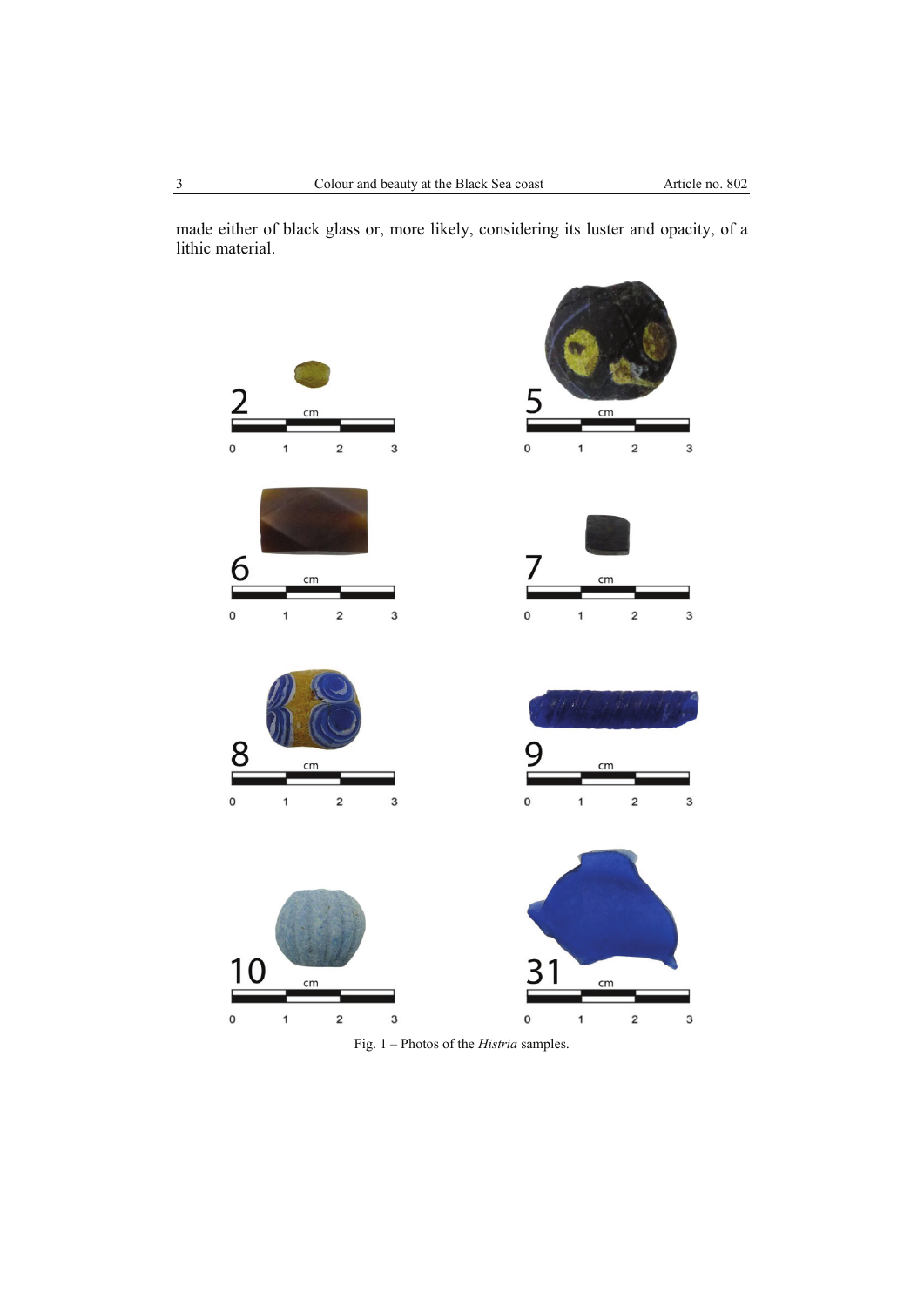made either of black glass or, more likely, considering its luster and opacity, of a lithic material.



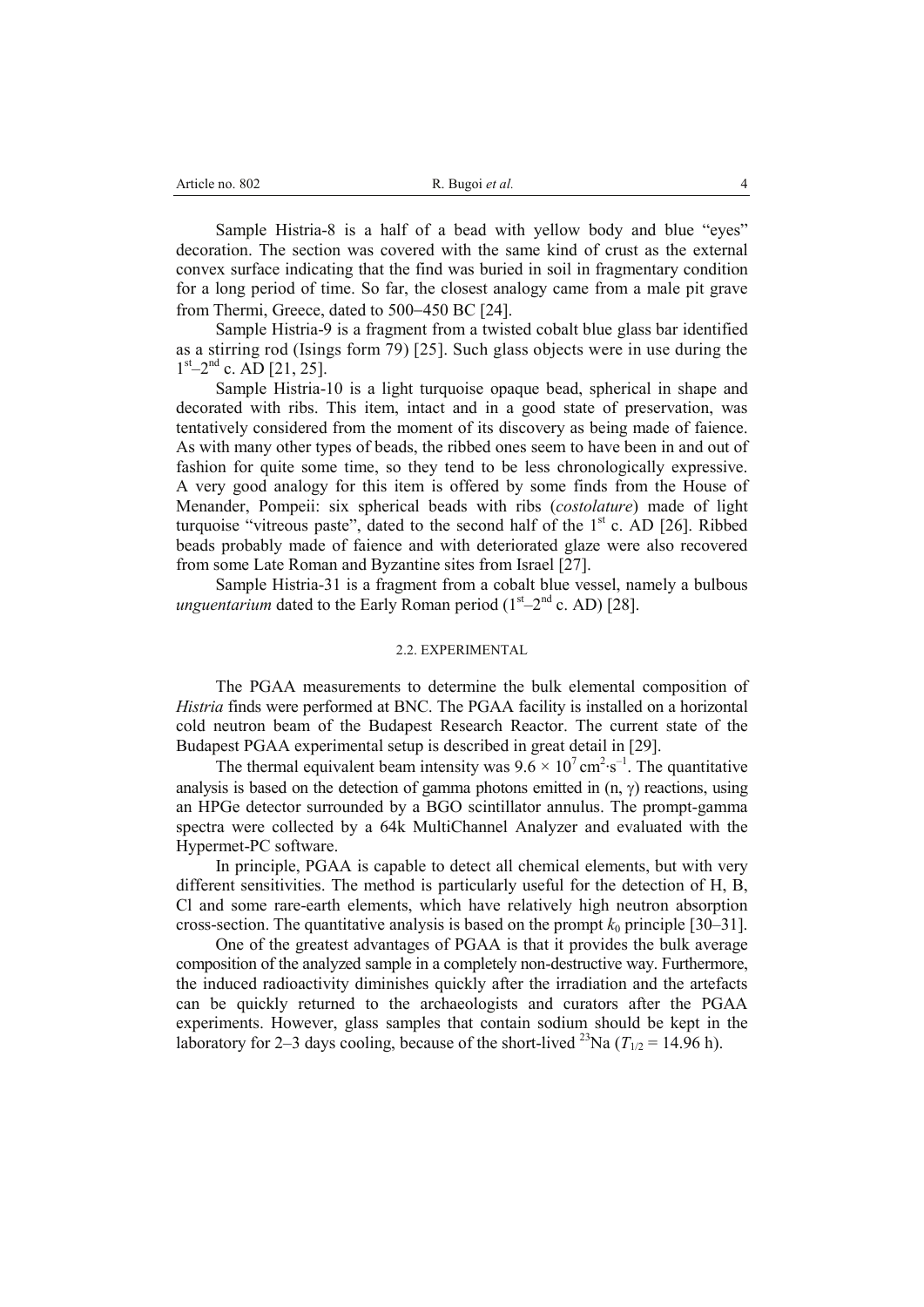| Article no. 802<br>R. Bugoi et al. |  |
|------------------------------------|--|
|------------------------------------|--|

Sample Histria-8 is a half of a bead with yellow body and blue "eyes" decoration. The section was covered with the same kind of crust as the external convex surface indicating that the find was buried in soil in fragmentary condition for a long period of time. So far, the closest analogy came from a male pit grave from Thermi, Greece, dated to 500–450 BC [24].

Sample Histria-9 is a fragment from a twisted cobalt blue glass bar identified as a stirring rod (Isings form 79) [25]. Such glass objects were in use during the  $1<sup>st</sup>-2<sup>nd</sup>$  c. AD [21, 25].

Sample Histria-10 is a light turquoise opaque bead, spherical in shape and decorated with ribs. This item, intact and in a good state of preservation, was tentatively considered from the moment of its discovery as being made of faience. As with many other types of beads, the ribbed ones seem to have been in and out of fashion for quite some time, so they tend to be less chronologically expressive. A very good analogy for this item is offered by some finds from the House of Menander, Pompeii: six spherical beads with ribs (*costolature*) made of light turquoise "vitreous paste", dated to the second half of the  $1<sup>st</sup>$  c. AD [26]. Ribbed beads probably made of faience and with deteriorated glaze were also recovered from some Late Roman and Byzantine sites from Israel [27].

Sample Histria-31 is a fragment from a cobalt blue vessel, namely a bulbous *unguentarium* dated to the Early Roman period  $(1<sup>st</sup>-2<sup>nd</sup> c. AD)$  [28].

### 2.2. EXPERIMENTAL

The PGAA measurements to determine the bulk elemental composition of *Histria* finds were performed at BNC. The PGAA facility is installed on a horizontal cold neutron beam of the Budapest Research Reactor. The current state of the Budapest PGAA experimental setup is described in great detail in [29].

The thermal equivalent beam intensity was  $9.6 \times 10^7$  cm<sup>2</sup>⋅s<sup>-1</sup>. The quantitative analysis is based on the detection of gamma photons emitted in  $(n, \gamma)$  reactions, using an HPGe detector surrounded by a BGO scintillator annulus. The prompt-gamma spectra were collected by a 64k MultiChannel Analyzer and evaluated with the Hypermet-PC software.

In principle, PGAA is capable to detect all chemical elements, but with very different sensitivities. The method is particularly useful for the detection of H, B, Cl and some rare-earth elements, which have relatively high neutron absorption cross-section. The quantitative analysis is based on the prompt  $k_0$  principle [30–31].

One of the greatest advantages of PGAA is that it provides the bulk average composition of the analyzed sample in a completely non-destructive way. Furthermore, the induced radioactivity diminishes quickly after the irradiation and the artefacts can be quickly returned to the archaeologists and curators after the PGAA experiments. However, glass samples that contain sodium should be kept in the laboratory for 2–3 days cooling, because of the short-lived <sup>23</sup>Na ( $T_{1/2}$  = 14.96 h).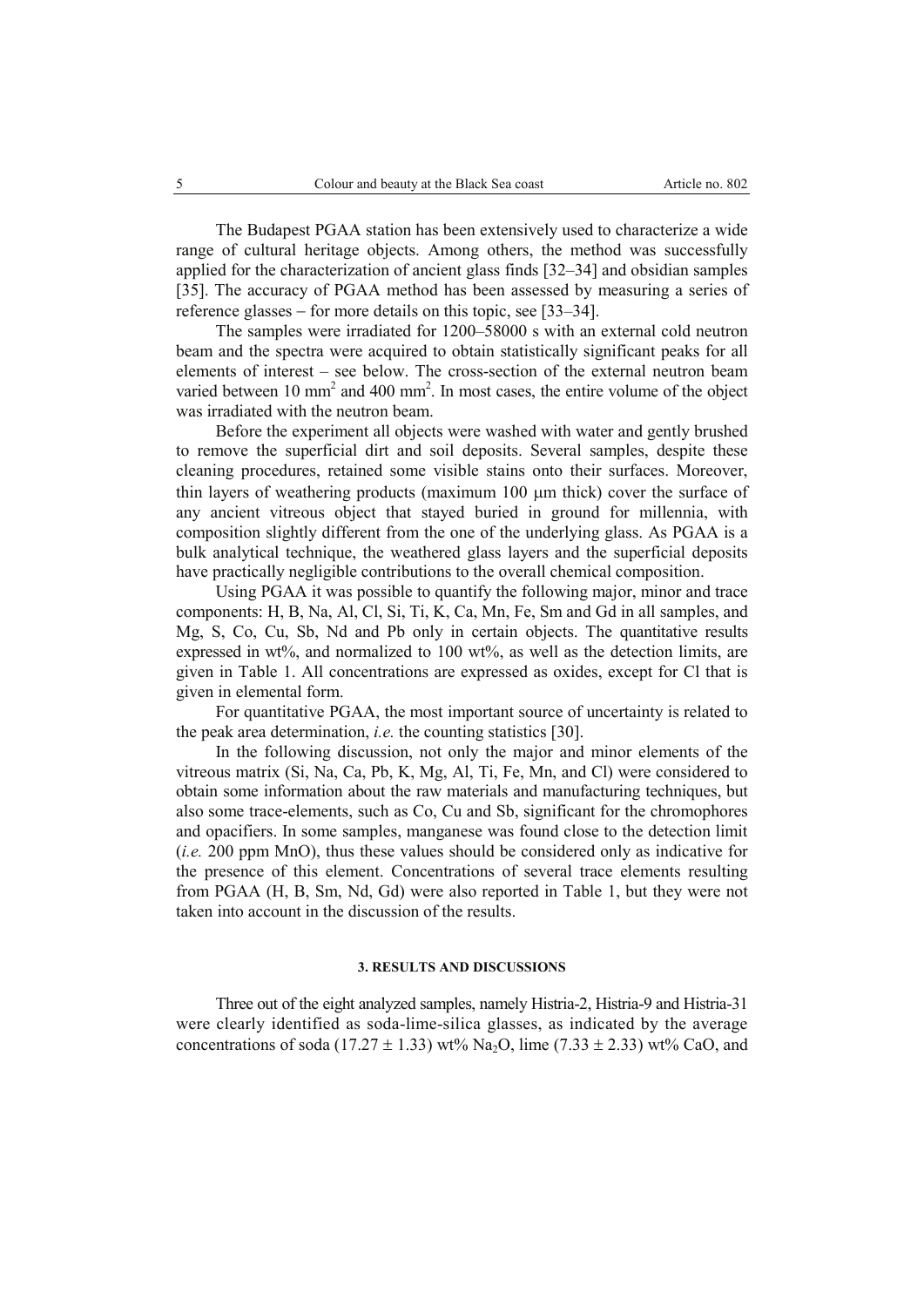The Budapest PGAA station has been extensively used to characterize a wide range of cultural heritage objects. Among others, the method was successfully applied for the characterization of ancient glass finds [32–34] and obsidian samples [35]. The accuracy of PGAA method has been assessed by measuring a series of reference glasses  $-$  for more details on this topic, see [33–34].

The samples were irradiated for 1200–58000 s with an external cold neutron beam and the spectra were acquired to obtain statistically significant peaks for all elements of interest – see below. The cross-section of the external neutron beam varied between 10 mm<sup>2</sup> and 400 mm<sup>2</sup>. In most cases, the entire volume of the object was irradiated with the neutron beam.

Before the experiment all objects were washed with water and gently brushed to remove the superficial dirt and soil deposits. Several samples, despite these cleaning procedures, retained some visible stains onto their surfaces. Moreover, thin layers of weathering products (maximum 100 µm thick) cover the surface of any ancient vitreous object that stayed buried in ground for millennia, with composition slightly different from the one of the underlying glass. As PGAA is a bulk analytical technique, the weathered glass layers and the superficial deposits have practically negligible contributions to the overall chemical composition.

Using PGAA it was possible to quantify the following major, minor and trace components: H, B, Na, Al, Cl, Si, Ti, K, Ca, Mn, Fe, Sm and Gd in all samples, and Mg, S, Co, Cu, Sb, Nd and Pb only in certain objects. The quantitative results expressed in wt%, and normalized to 100 wt%, as well as the detection limits, are given in Table 1. All concentrations are expressed as oxides, except for Cl that is given in elemental form.

For quantitative PGAA, the most important source of uncertainty is related to the peak area determination, *i.e.* the counting statistics [30].

In the following discussion, not only the major and minor elements of the vitreous matrix (Si, Na, Ca, Pb, K, Mg, Al, Ti, Fe, Mn, and Cl) were considered to obtain some information about the raw materials and manufacturing techniques, but also some trace-elements, such as Co, Cu and Sb, significant for the chromophores and opacifiers. In some samples, manganese was found close to the detection limit (*i.e.* 200 ppm MnO), thus these values should be considered only as indicative for the presence of this element. Concentrations of several trace elements resulting from PGAA (H, B, Sm, Nd, Gd) were also reported in Table 1, but they were not taken into account in the discussion of the results.

### **3. RESULTS AND DISCUSSIONS**

Three out of the eight analyzed samples, namely Histria-2, Histria-9 and Histria-31 were clearly identified as soda-lime-silica glasses, as indicated by the average concentrations of soda (17.27  $\pm$  1.33) wt% Na<sub>2</sub>O, lime (7.33  $\pm$  2.33) wt% CaO, and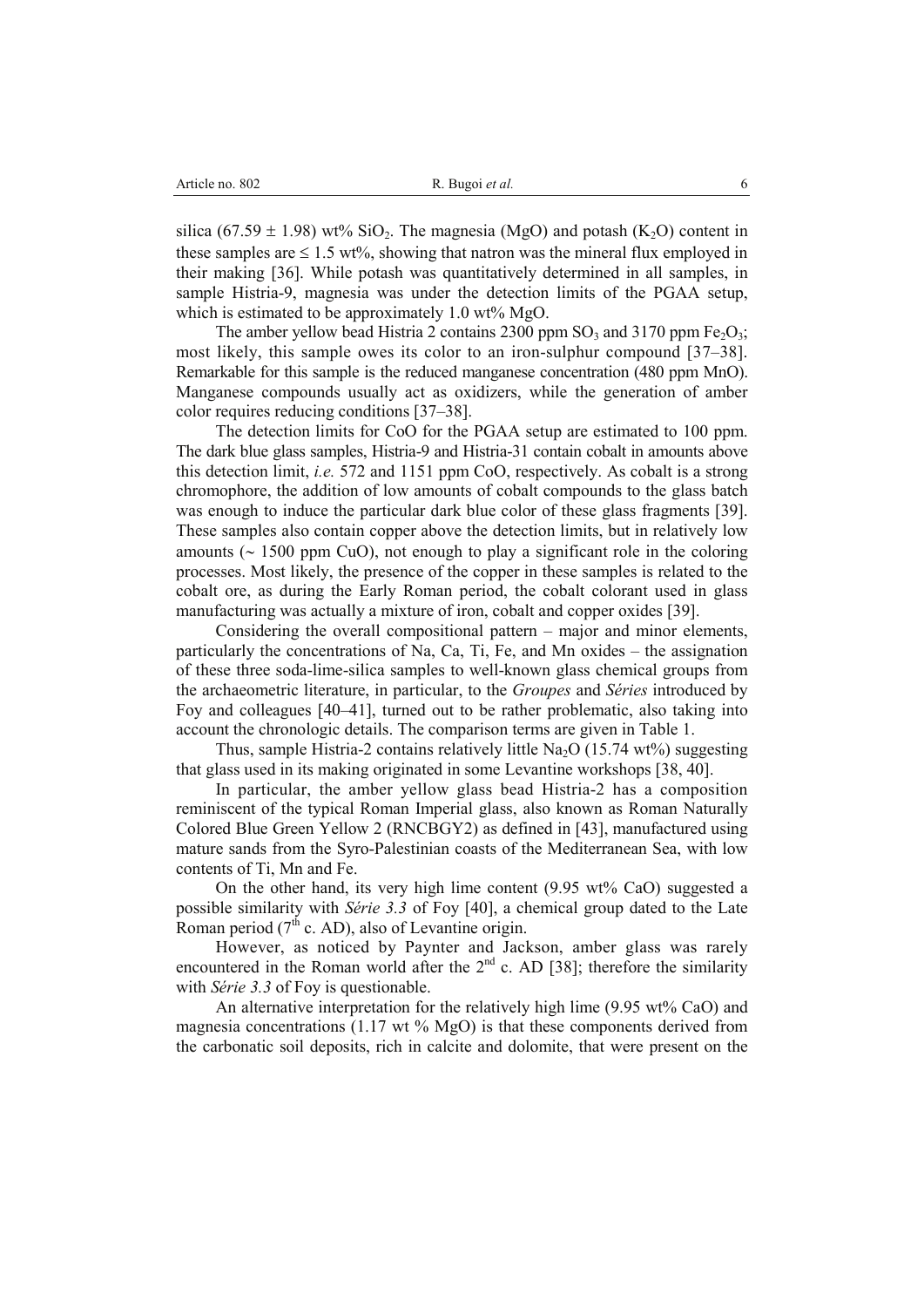| Article no. 802 |  |
|-----------------|--|
|-----------------|--|

silica (67.59  $\pm$  1.98) wt% SiO<sub>2</sub>. The magnesia (MgO) and potash (K<sub>2</sub>O) content in these samples are  $\leq 1.5$  wt%, showing that natron was the mineral flux employed in their making [36]. While potash was quantitatively determined in all samples, in sample Histria-9, magnesia was under the detection limits of the PGAA setup, which is estimated to be approximately  $1.0 \text{ wt\%} \text{MgO}.$ 

The amber yellow bead Histria 2 contains 2300 ppm  $SO_3$  and 3170 ppm  $Fe<sub>2</sub>O<sub>3</sub>$ ; most likely, this sample owes its color to an iron-sulphur compound [37–38]. Remarkable for this sample is the reduced manganese concentration (480 ppm MnO). Manganese compounds usually act as oxidizers, while the generation of amber color requires reducing conditions [37–38].

The detection limits for CoO for the PGAA setup are estimated to 100 ppm. The dark blue glass samples, Histria-9 and Histria-31 contain cobalt in amounts above this detection limit, *i.e.* 572 and 1151 ppm CoO, respectively. As cobalt is a strong chromophore, the addition of low amounts of cobalt compounds to the glass batch was enough to induce the particular dark blue color of these glass fragments [39]. These samples also contain copper above the detection limits, but in relatively low amounts ( $\sim 1500$  ppm CuO), not enough to play a significant role in the coloring processes. Most likely, the presence of the copper in these samples is related to the cobalt ore, as during the Early Roman period, the cobalt colorant used in glass manufacturing was actually a mixture of iron, cobalt and copper oxides [39].

Considering the overall compositional pattern – major and minor elements, particularly the concentrations of Na, Ca, Ti, Fe, and Mn oxides – the assignation of these three soda-lime-silica samples to well-known glass chemical groups from the archaeometric literature, in particular, to the *Groupes* and *Séries* introduced by Foy and colleagues [40–41], turned out to be rather problematic, also taking into account the chronologic details. The comparison terms are given in Table 1.

Thus, sample Histria-2 contains relatively little  $Na<sub>2</sub>O$  (15.74 wt%) suggesting that glass used in its making originated in some Levantine workshops [38, 40].

In particular, the amber yellow glass bead Histria-2 has a composition reminiscent of the typical Roman Imperial glass, also known as Roman Naturally Colored Blue Green Yellow 2 (RNCBGY2) as defined in [43], manufactured using mature sands from the Syro-Palestinian coasts of the Mediterranean Sea, with low contents of Ti, Mn and Fe.

On the other hand, its very high lime content (9.95 wt% CaO) suggested a possible similarity with *Série 3.3* of Foy [40], a chemical group dated to the Late Roman period  $(7<sup>th</sup>$  c. AD), also of Levantine origin.

However, as noticed by Paynter and Jackson, amber glass was rarely encountered in the Roman world after the  $2<sup>nd</sup>$  c. AD [38]; therefore the similarity with *Série 3.3* of Foy is questionable.

An alternative interpretation for the relatively high lime (9.95 wt% CaO) and magnesia concentrations (1.17 wt  $%$  MgO) is that these components derived from the carbonatic soil deposits, rich in calcite and dolomite, that were present on the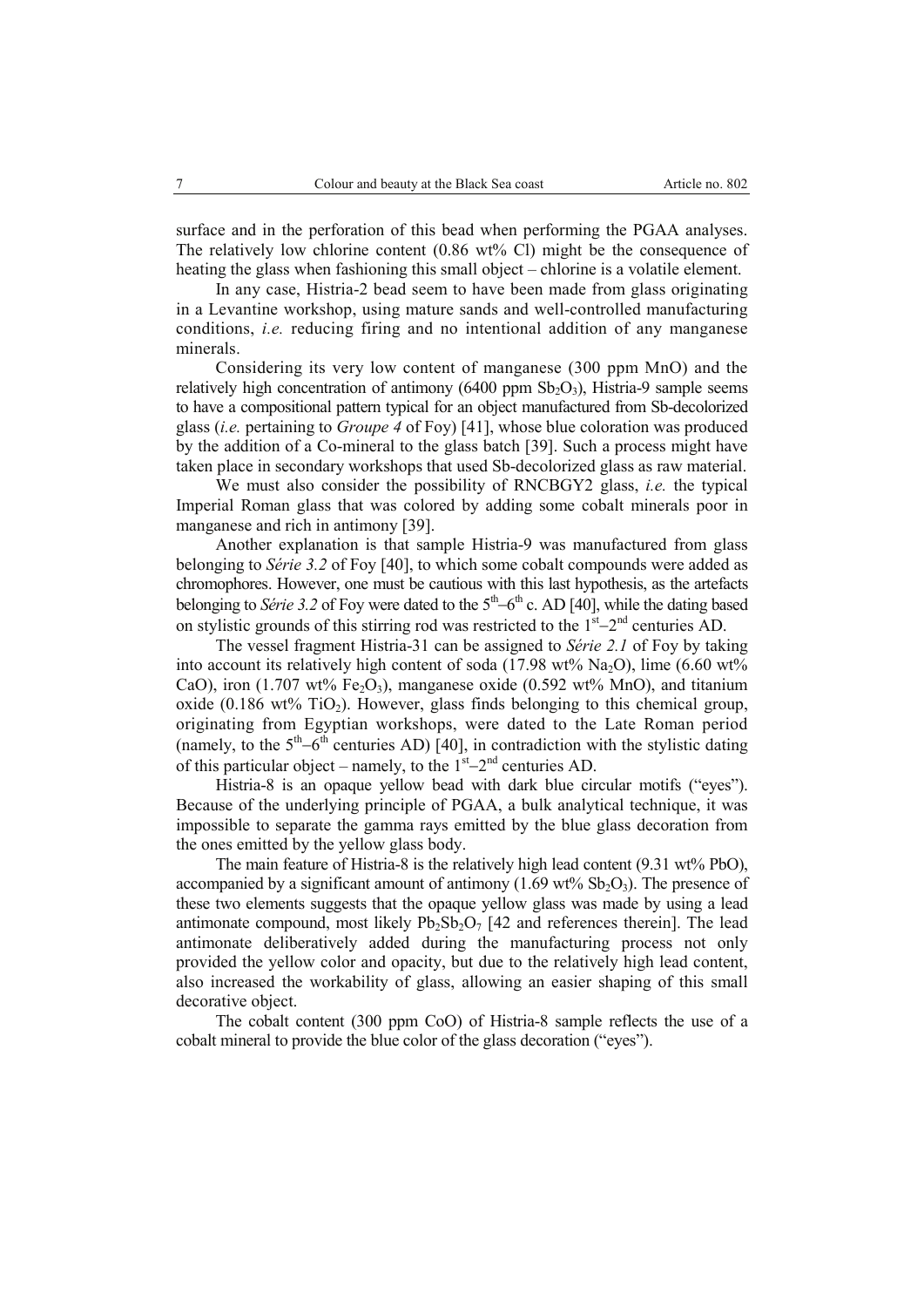surface and in the perforation of this bead when performing the PGAA analyses. The relatively low chlorine content (0.86 wt% Cl) might be the consequence of heating the glass when fashioning this small object – chlorine is a volatile element.

In any case, Histria-2 bead seem to have been made from glass originating in a Levantine workshop, using mature sands and well-controlled manufacturing conditions, *i.e.* reducing firing and no intentional addition of any manganese minerals.

Considering its very low content of manganese (300 ppm MnO) and the relatively high concentration of antimony (6400 ppm  $Sb_2O_3$ ), Histria-9 sample seems to have a compositional pattern typical for an object manufactured from Sb-decolorized glass (*i.e.* pertaining to *Groupe 4* of Foy) [41], whose blue coloration was produced by the addition of a Co-mineral to the glass batch [39]. Such a process might have taken place in secondary workshops that used Sb-decolorized glass as raw material.

We must also consider the possibility of RNCBGY2 glass, *i.e.* the typical Imperial Roman glass that was colored by adding some cobalt minerals poor in manganese and rich in antimony [39].

Another explanation is that sample Histria-9 was manufactured from glass belonging to *Série 3.2* of Foy [40], to which some cobalt compounds were added as chromophores. However, one must be cautious with this last hypothesis, as the artefacts belonging to *Série* 3.2 of Foy were dated to the  $5<sup>th</sup>-6<sup>th</sup>$  c. AD [40], while the dating based on stylistic grounds of this stirring rod was restricted to the  $1<sup>st</sup>-2<sup>nd</sup>$  centuries AD.

The vessel fragment Histria-31 can be assigned to *Série 2.1* of Foy by taking into account its relatively high content of soda  $(17.98 \text{ wt\% Na}_2O)$ , lime  $(6.60 \text{ wt\%}$ CaO), iron (1.707 wt% Fe<sub>2</sub>O<sub>3</sub>), manganese oxide (0.592 wt% MnO), and titanium oxide (0.186 wt% TiO<sub>2</sub>). However, glass finds belonging to this chemical group, originating from Egyptian workshops, were dated to the Late Roman period (namely, to the  $5<sup>th</sup>-6<sup>th</sup>$  centuries AD) [40], in contradiction with the stylistic dating of this particular object – namely, to the  $1<sup>st</sup>-2<sup>nd</sup>$  centuries AD.

Histria-8 is an opaque yellow bead with dark blue circular motifs ("eyes"). Because of the underlying principle of PGAA, a bulk analytical technique, it was impossible to separate the gamma rays emitted by the blue glass decoration from the ones emitted by the yellow glass body.

The main feature of Histria-8 is the relatively high lead content (9.31 wt% PbO), accompanied by a significant amount of antimony  $(1.69 \text{ wt\% Sb_2O_3})$ . The presence of these two elements suggests that the opaque yellow glass was made by using a lead antimonate compound, most likely  $Pb_2Sb_2O_7$  [42 and references therein]. The lead antimonate deliberatively added during the manufacturing process not only provided the yellow color and opacity, but due to the relatively high lead content, also increased the workability of glass, allowing an easier shaping of this small decorative object.

The cobalt content (300 ppm CoO) of Histria-8 sample reflects the use of a cobalt mineral to provide the blue color of the glass decoration ("eyes").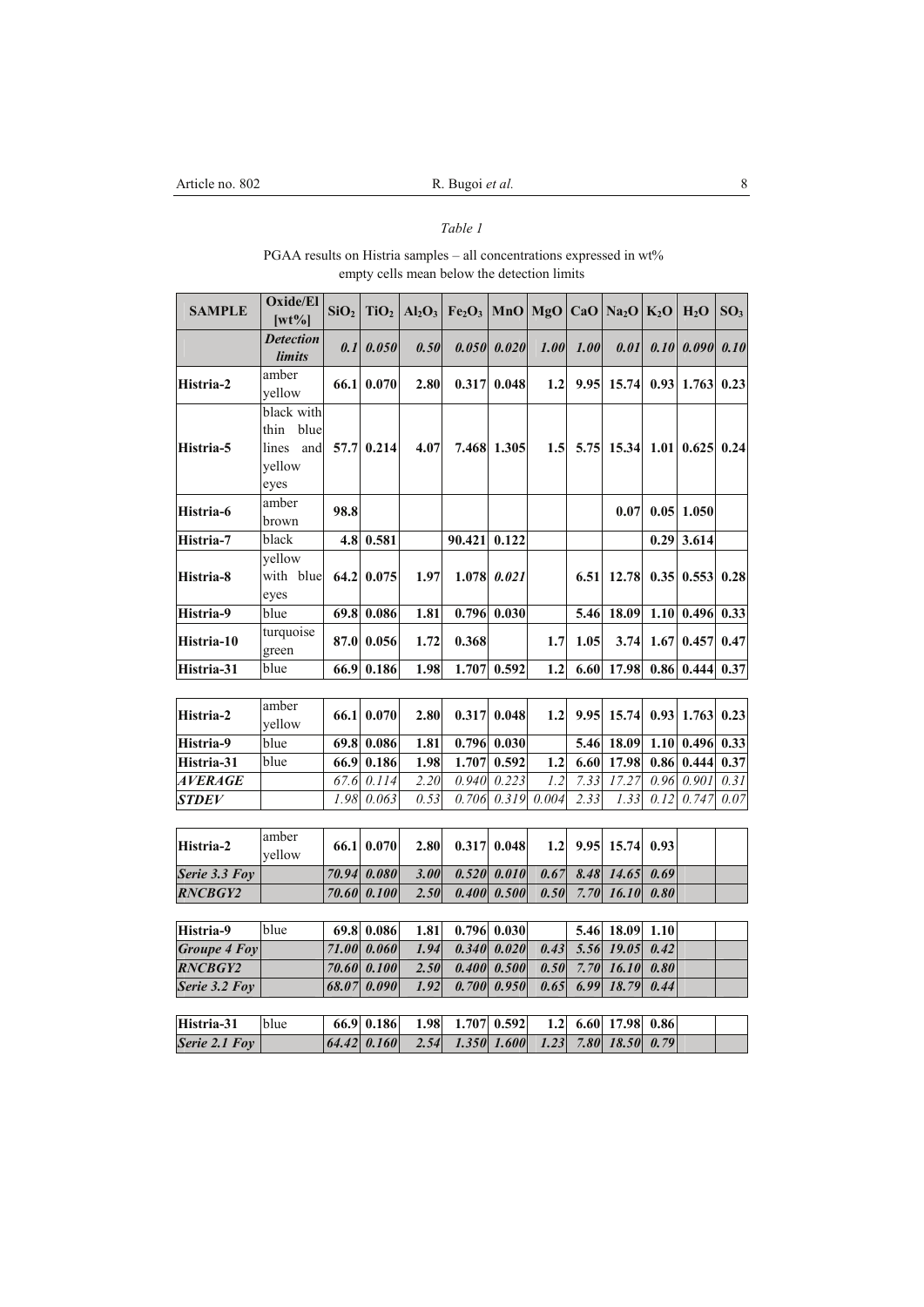## *Table 1*

### PGAA results on Histria samples – all concentrations expressed in wt% empty cells mean below the detection limits

| <b>SAMPLE</b>       | Oxide/El<br>$[wt\%]$                                         | SiO <sub>2</sub> | TiO <sub>2</sub> | Al <sub>2</sub> O <sub>3</sub> | $Fe2O3$ MnO MgO CaO Na <sub>2</sub> O K <sub>2</sub> O |       |                   |      |       |      | H <sub>2</sub> O | SO <sub>3</sub> |
|---------------------|--------------------------------------------------------------|------------------|------------------|--------------------------------|--------------------------------------------------------|-------|-------------------|------|-------|------|------------------|-----------------|
|                     | <b>Detection</b><br>limits                                   | 0.1              | 0.050            | 0.50                           | 0.050                                                  | 0.020 | 1.00              | 1.00 | 0.01  | 0.10 | 0.090            | 0.10            |
| Histria-2           | amber<br>yellow                                              | 66.1             | 0.070            | 2.80                           | 0.317                                                  | 0.048 | 1.2               | 9.95 | 15.74 | 0.93 | 1.763            | 0.23            |
| Histria-5           | black with<br>blue<br>thin<br>lines<br>and<br>yellow<br>eyes | 57.7             | 0.214            | 4.07                           | 7.468                                                  | 1.305 | 1.5               | 5.75 | 15.34 |      | $1.01 \, 0.625$  | 0.24            |
| Histria-6           | amber<br>brown                                               | 98.8             |                  |                                |                                                        |       |                   |      | 0.07  |      | $0.05$   1.050   |                 |
| Histria-7           | black                                                        | 4.8              | 0.581            |                                | 90.421                                                 | 0.122 |                   |      |       | 0.29 | 3.614            |                 |
| Histria-8           | yellow<br>with blue<br>eyes                                  | 64.2             | 0.075            | 1.97                           | 1.078                                                  | 0.021 |                   | 6.51 | 12.78 |      | $0.35$ 0.553     | 0.28            |
| Histria-9           | blue                                                         | 69.8             | 0.086            | 1.81                           | 0.796                                                  | 0.030 |                   | 5.46 | 18.09 | 1.10 | 0.496            | 0.33            |
| Histria-10          | turquoise<br>green                                           | 87.0             | 0.056            | 1.72                           | 0.368                                                  |       | 1.7               | 1.05 | 3.74  | 1.67 | 0.457            | 0.47            |
| Histria-31          | blue                                                         | 66.9             | 0.186            | 1.98                           | 1.707                                                  | 0.592 | $\overline{1.2}$  | 6.60 | 17.98 | 0.86 | 0.444            | 0.37            |
|                     |                                                              |                  |                  |                                |                                                        |       |                   |      |       |      |                  |                 |
| Histria-2           | amber<br>yellow                                              | 66.1             | 0.070            | 2.80                           | 0.317                                                  | 0.048 | 1.2               | 9.95 | 15.74 | 0.93 | 1.763            | 0.23            |
| Histria-9           | blue                                                         | 69.8             | 0.086            | 1.81                           | 0.796                                                  | 0.030 |                   | 5.46 | 18.09 | 1.10 | 0.496            | 0.33            |
| Histria-31          | blue                                                         | 66.9             | 0.186            | 1.98                           | 1.707                                                  | 0.592 | 1.2               | 6.60 | 17.98 | 0.86 | 0.444            | 0.37            |
| <b>AVERAGE</b>      |                                                              | 67.6             | 0.114            | 2.20                           | 0.940                                                  | 0.223 | $\overline{1.2}$  | 7.33 | 17.27 | 0.96 | 0.901            | 0.31            |
| <b>STDEV</b>        |                                                              | 1.98             | 0.063            | 0.53                           | 0.706                                                  | 0.319 | 0.004             | 2.33 | 1.33  | 0.12 | 0.747            | $0.07\,$        |
| Histria-2           | amber<br>yellow                                              | 66.1             | 0.070            | 2.80                           | 0.317                                                  | 0.048 | 1.2               | 9.95 | 15.74 | 0.93 |                  |                 |
| Serie 3.3 Foy       |                                                              | 70.94            | 0.080            | 3.00                           | 0.520                                                  | 0.010 | 0.67              | 8.48 | 14.65 | 0.69 |                  |                 |
| <b>RNCBGY2</b>      |                                                              | 70.60            | 0.100            | 2.50                           | 0.400                                                  | 0.500 | 0.50              | 7.70 | 16.10 | 0.80 |                  |                 |
|                     |                                                              |                  |                  |                                |                                                        |       |                   |      |       |      |                  |                 |
| Histria-9           | blue                                                         | 69.8             | 0.086            | 1.81                           | 0.796                                                  | 0.030 |                   | 5.46 | 18.09 | 1.10 |                  |                 |
| <b>Groupe 4 Foy</b> |                                                              | 71.00            | 0.060            | 1.94                           | 0.340                                                  | 0.020 | $\overline{0.43}$ | 5.56 | 19.05 | 0.42 |                  |                 |
| <b>RNCBGY2</b>      |                                                              | 70.60            | 0.100            | 2.50                           | 0.400                                                  | 0.500 | 0.50              | 7.70 | 16.10 | 0.80 |                  |                 |
| Serie 3.2 Foy       |                                                              | 68.07            | 0.090            | 1.92                           | 0.700                                                  | 0.950 | 0.65              | 6.99 | 18.79 | 0.44 |                  |                 |
| Histria-31          | blue                                                         | 66.9             | 0.186            | 1.98                           | 1.707                                                  | 0.592 | 1.2               | 6.60 | 17.98 | 0.86 |                  |                 |
| Serie 2.1 Foy       |                                                              | 64.42            | 0.160            | 2.54                           | 1.350                                                  | 1.600 | 1.23              | 7.80 | 18.50 | 0.79 |                  |                 |
|                     |                                                              |                  |                  |                                |                                                        |       |                   |      |       |      |                  |                 |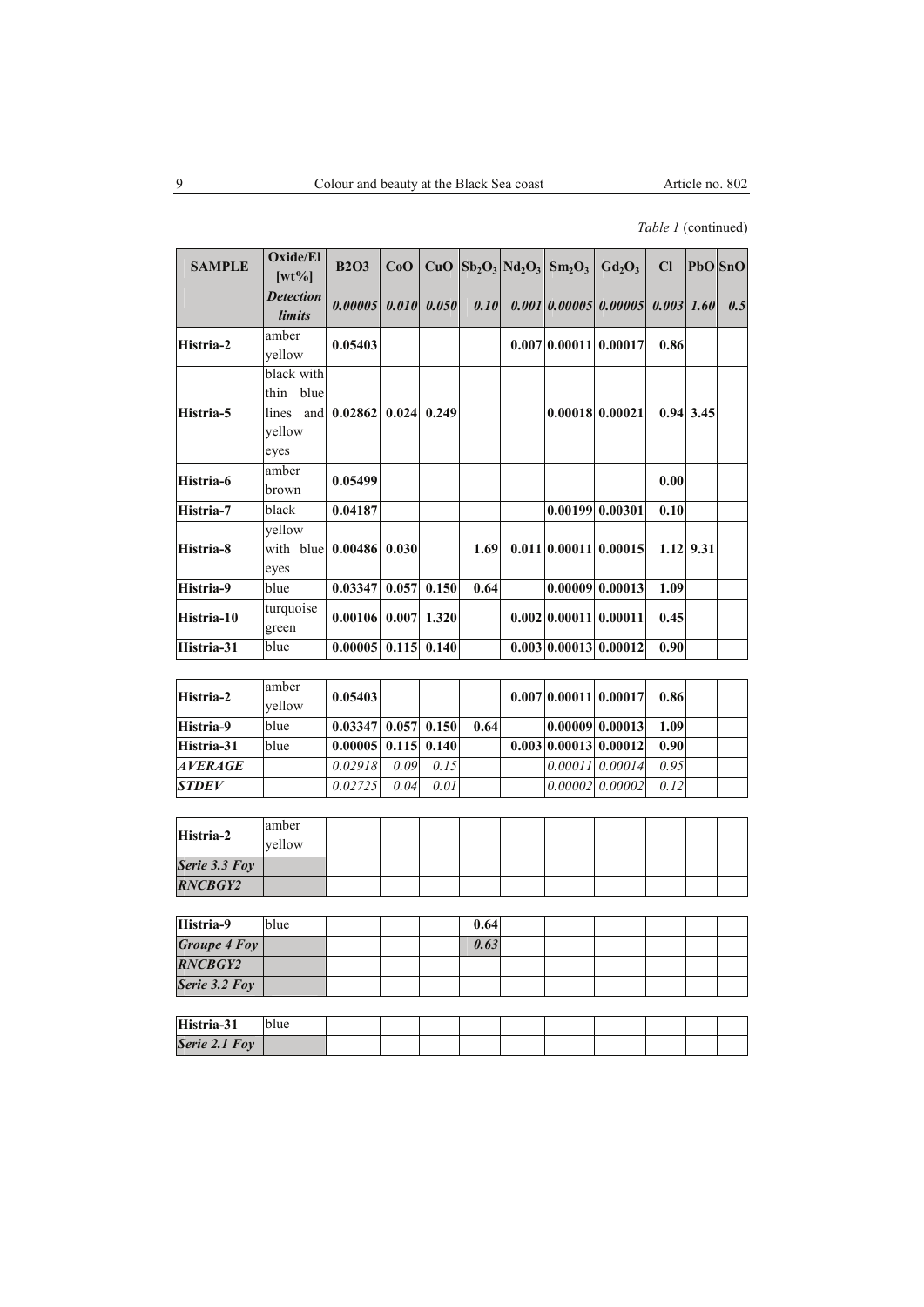## *Table 1* (continued)

| <b>SAMPLE</b> | Oxide/El<br>$[wt\%]$                                      | <b>B2O3</b>           | CoO   |               |      | CuO $ Sb_2O_3 Nd_2O_3 Sm_2O_3$ | $Gd_2O_3$             | Cl           |                 | PbO SnO |
|---------------|-----------------------------------------------------------|-----------------------|-------|---------------|------|--------------------------------|-----------------------|--------------|-----------------|---------|
|               | <b>Detection</b><br><i>limits</i>                         | 0.0000510.0101        |       | 0.050         | 0.10 |                                | 0.001 0.00005 0.00005 | $0.003$ 1.60 |                 | 0.5     |
| Histria-2     | amber<br>yellow                                           | 0.05403               |       |               |      |                                | 0.00710.0001110.00017 | 0.86         |                 |         |
| Histria-5     | black with<br>thin blue<br>lines<br>and<br>yellow<br>eyes | 0.02862               |       | $0.024$ 0.249 |      |                                | $0.00018$ 0.00021     |              | $0.94 \, 3.45$  |         |
| Histria-6     | amber<br>brown                                            | 0.05499               |       |               |      |                                |                       | 0.00         |                 |         |
| Histria-7     | black                                                     | 0.04187               |       |               |      |                                | $0.00199$ 0.00301     | 0.10         |                 |         |
| Histria-8     | yellow<br>with blue<br>eyes                               | 0.00486               | 0.030 |               | 1.69 |                                | 0.011 0.00011 0.00015 |              | $1.12$   $9.31$ |         |
| Histria-9     | blue                                                      | 0.03347               |       | $0.057$ 0.150 | 0.64 |                                | 0.00009   0.00013     | 1.09         |                 |         |
| Histria-10    | turquoise<br>green                                        | $0.00106$ 0.007 1.320 |       |               |      |                                | 0.002 0.00011 0.00011 | 0.45         |                 |         |
| Histria-31    | blue                                                      | 0.00005               |       | $0.115$ 0.140 |      |                                | 0.003 0.00013 0.00012 | 0.90         |                 |         |

| Histria-2    | amber<br>vellow | 0.05403                              |      |      |      |  | 0.007 0.00011 0.00017 | 0.86 |  |
|--------------|-----------------|--------------------------------------|------|------|------|--|-----------------------|------|--|
| Histria-9    | blue            | $0.03347 \mid 0.057 \mid 0.150 \mid$ |      |      | 0.64 |  | 0.00009 0.00013       | 1.09 |  |
| Histria-31   | blue            | $0.00005$ 0.115 0.140                |      |      |      |  | 0.003 0.00013 0.00012 | 0.90 |  |
| AVERAGE      |                 | 0.02918                              | 0.09 | 0.15 |      |  | $0.00011$ 0.00014     | 0.95 |  |
| <b>STDEV</b> |                 | 0.02725                              | 0.04 | 0.01 |      |  | $0.00002$ $0.00002$   | 0.12 |  |

| Histria-2      | amber<br>vellow |  |  |  |  |  |
|----------------|-----------------|--|--|--|--|--|
| Serie 3.3 Foy  |                 |  |  |  |  |  |
| <b>RNCBGY2</b> |                 |  |  |  |  |  |

| Histria-9      | blue |  | 0.64 |  |  |  |
|----------------|------|--|------|--|--|--|
| Groupe 4 Foy   |      |  | 0.63 |  |  |  |
| <b>RNCBGY2</b> |      |  |      |  |  |  |
| Serie 3.2 Foy  |      |  |      |  |  |  |

| Histria-31    | иuе |  |  |  |  |  |
|---------------|-----|--|--|--|--|--|
| Serie 2.1 Foy |     |  |  |  |  |  |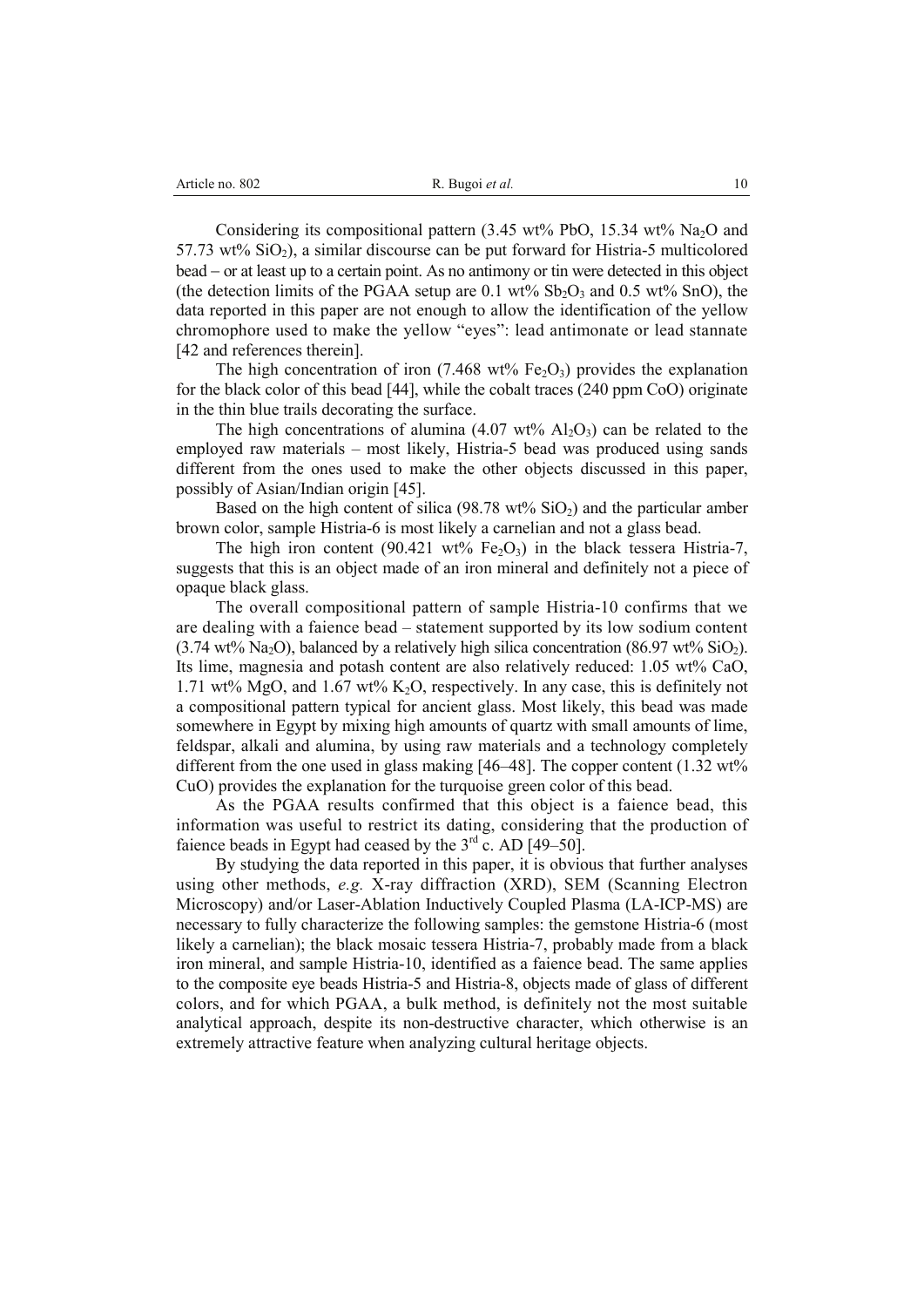Considering its compositional pattern  $(3.45 \text{ wt\%} \text{ PbO}, 15.34 \text{ wt\%} \text{ Na}_2\text{O} \text{ and } 15.34 \text{ wt\%} \text{ N} \text{m}$ 57.73 wt%  $SiO<sub>2</sub>$ ), a similar discourse can be put forward for Histria-5 multicolored bead – or at least up to a certain point. As no antimony or tin were detected in this object (the detection limits of the PGAA setup are 0.1 wt%  $Sb<sub>2</sub>O<sub>3</sub>$  and 0.5 wt% SnO), the data reported in this paper are not enough to allow the identification of the yellow chromophore used to make the yellow "eyes": lead antimonate or lead stannate [42 and references therein].

The high concentration of iron (7.468 wt% Fe<sub>2</sub>O<sub>3</sub>) provides the explanation for the black color of this bead [44], while the cobalt traces (240 ppm CoO) originate in the thin blue trails decorating the surface.

The high concentrations of alumina  $(4.07 \text{ wt\% } \text{Al}_2\text{O}_3)$  can be related to the employed raw materials – most likely, Histria-5 bead was produced using sands different from the ones used to make the other objects discussed in this paper, possibly of Asian/Indian origin [45].

Based on the high content of silica (98.78 wt%  $SiO<sub>2</sub>$ ) and the particular amber brown color, sample Histria-6 is most likely a carnelian and not a glass bead.

The high iron content (90.421 wt%  $Fe<sub>2</sub>O<sub>3</sub>$ ) in the black tessera Histria-7, suggests that this is an object made of an iron mineral and definitely not a piece of opaque black glass.

The overall compositional pattern of sample Histria-10 confirms that we are dealing with a faience bead – statement supported by its low sodium content  $(3.74 \text{ wt\% Na}_2O)$ , balanced by a relatively high silica concentration  $(86.97 \text{ wt\% SiO}_2)$ . Its lime, magnesia and potash content are also relatively reduced: 1.05 wt% CaO, 1.71 wt% MgO, and 1.67 wt% K<sub>2</sub>O, respectively. In any case, this is definitely not a compositional pattern typical for ancient glass. Most likely, this bead was made somewhere in Egypt by mixing high amounts of quartz with small amounts of lime, feldspar, alkali and alumina, by using raw materials and a technology completely different from the one used in glass making [46–48]. The copper content (1.32 wt%) CuO) provides the explanation for the turquoise green color of this bead.

As the PGAA results confirmed that this object is a faience bead, this information was useful to restrict its dating, considering that the production of faience beads in Egypt had ceased by the  $3<sup>rd</sup>$  c. AD [49–50].

By studying the data reported in this paper, it is obvious that further analyses using other methods, *e.g.* X-ray diffraction (XRD), SEM (Scanning Electron Microscopy) and/or Laser-Ablation Inductively Coupled Plasma (LA-ICP-MS) are necessary to fully characterize the following samples: the gemstone Histria-6 (most likely a carnelian); the black mosaic tessera Histria-7, probably made from a black iron mineral, and sample Histria-10, identified as a faience bead. The same applies to the composite eye beads Histria-5 and Histria-8, objects made of glass of different colors, and for which PGAA, a bulk method, is definitely not the most suitable analytical approach, despite its non-destructive character, which otherwise is an extremely attractive feature when analyzing cultural heritage objects.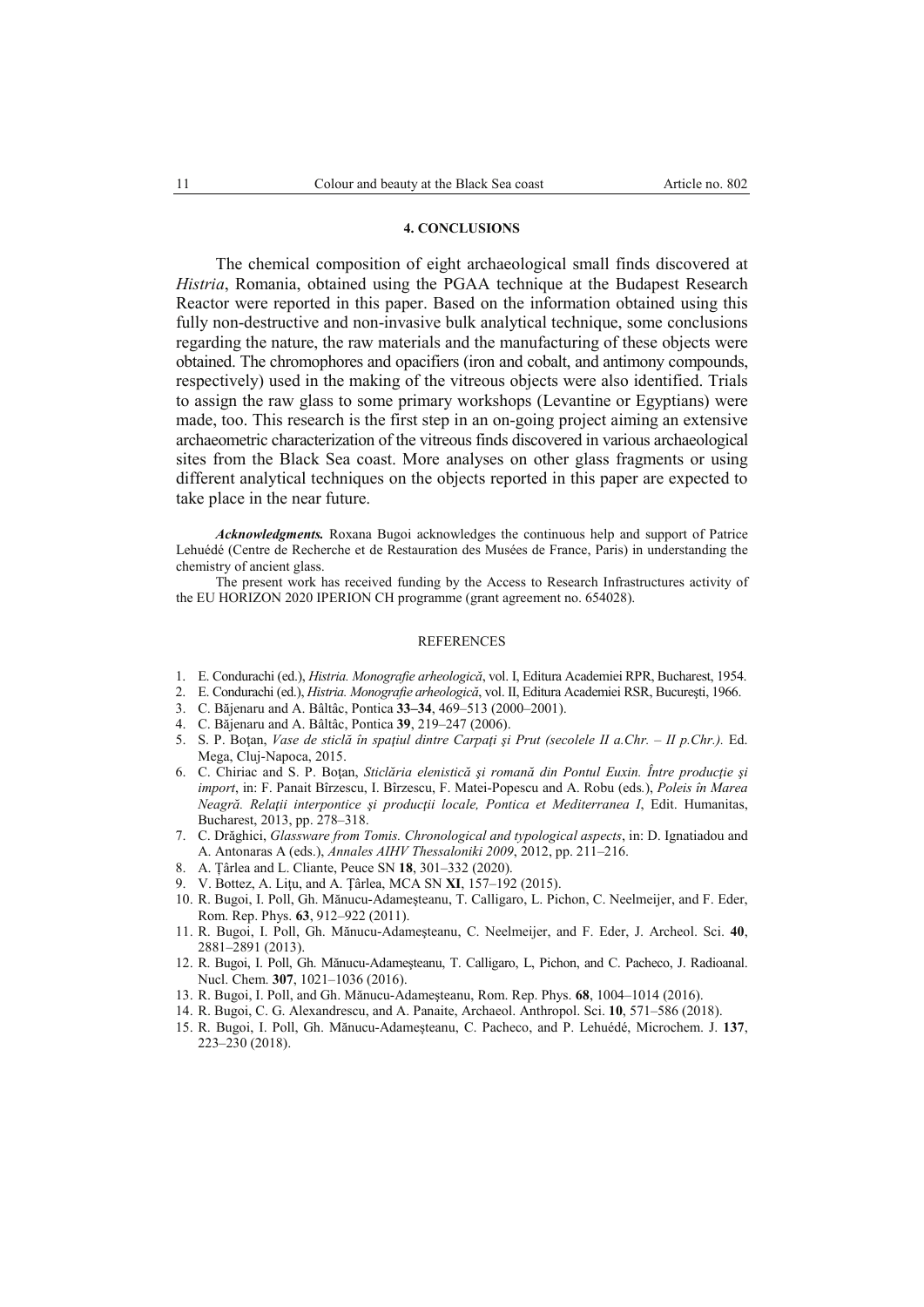### **4. CONCLUSIONS**

The chemical composition of eight archaeological small finds discovered at *Histria*, Romania, obtained using the PGAA technique at the Budapest Research Reactor were reported in this paper. Based on the information obtained using this fully non-destructive and non-invasive bulk analytical technique, some conclusions regarding the nature, the raw materials and the manufacturing of these objects were obtained. The chromophores and opacifiers (iron and cobalt, and antimony compounds, respectively) used in the making of the vitreous objects were also identified. Trials to assign the raw glass to some primary workshops (Levantine or Egyptians) were made, too. This research is the first step in an on-going project aiming an extensive archaeometric characterization of the vitreous finds discovered in various archaeological sites from the Black Sea coast. More analyses on other glass fragments or using different analytical techniques on the objects reported in this paper are expected to take place in the near future.

*Acknowledgments.* Roxana Bugoi acknowledges the continuous help and support of Patrice Lehuédé (Centre de Recherche et de Restauration des Musées de France, Paris) in understanding the chemistry of ancient glass.

The present work has received funding by the Access to Research Infrastructures activity of the EU HORIZON 2020 IPERION CH programme (grant agreement no. 654028).

#### REFERENCES

- 1. E. Condurachi (ed.), *Histria. Monografie arheologică*, vol. I, Editura Academiei RPR, Bucharest, 1954.
- 2. E. Condurachi (ed.), *Histria. Monografie arheologică*, vol. II, Editura Academiei RSR, Bucureşti, 1966.
- 3. C. Băjenaru and A. Bâltâc, Pontica **33–34**, 469–513 (2000–2001).
- 4. C. Băjenaru and A. Bâltâc, Pontica **39**, 219–247 (2006).
- 5. S. P. Boţan, *Vase de sticlă în spaţiul dintre Carpaţi şi Prut (secolele II a.Chr. II p.Chr.).* Ed. Mega, Cluj-Napoca, 2015.
- 6. C. Chiriac and S. P. Boţan, *Sticlăria elenistică şi romană din Pontul Euxin. Între producţie şi import*, in: F. Panait Bîrzescu, I. Bîrzescu, F. Matei-Popescu and A. Robu (eds*.*), *Poleis în Marea Neagră. Relaţii interpontice şi producţii locale, Pontica et Mediterranea I*, Edit. Humanitas, Bucharest, 2013, pp. 278–318.
- 7. C. Drăghici, *Glassware from Tomis. Chronological and typological aspects*, in: D. Ignatiadou and A. Antonaras A (eds.), *Annales AIHV Thessaloniki 2009*, 2012, pp. 211–216.
- 8. A. Țârlea and L. Cliante, Peuce SN **18**, 301–332 (2020).
- 9. V. Bottez, A. Liţu, and A. Ţârlea, MCA SN **XI**, 157–192 (2015).
- 10. R. Bugoi, I. Poll, Gh. Mănucu-Adameşteanu, T. Calligaro, L. Pichon, C. Neelmeijer, and F. Eder, Rom. Rep. Phys. **63**, 912–922 (2011).
- 11. R. Bugoi, I. Poll, Gh. Mănucu-Adameşteanu, C. Neelmeijer, and F. Eder, J. Archeol. Sci. **40**, 2881–2891 (2013).
- 12. R. Bugoi, I. Poll, Gh. Mănucu-Adameşteanu, T. Calligaro, L, Pichon, and C. Pacheco, J. Radioanal. Nucl. Chem. **307**, 1021–1036 (2016).
- 13. R. Bugoi, I. Poll, and Gh. Mănucu-Adameşteanu, Rom. Rep. Phys. **68**, 1004–1014 (2016).
- 14. R. Bugoi, C. G. Alexandrescu, and A. Panaite, Archaeol. Anthropol. Sci. **10**, 571–586 (2018).
- 15. R. Bugoi, I. Poll, Gh. Mănucu-Adameşteanu, C. Pacheco, and P. Lehuédé, Microchem. J. **137**, 223–230 (2018).